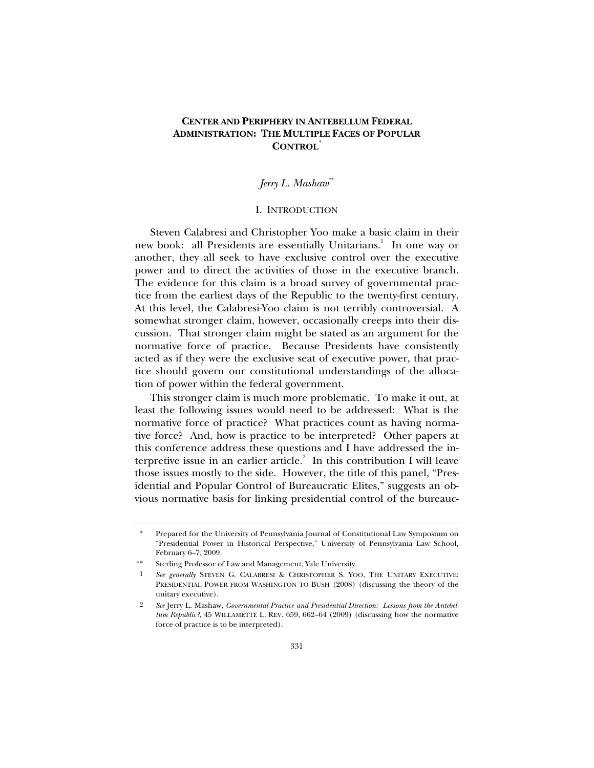## **CENTER AND PERIPHERY IN ANTEBELLUM FEDERAL ADMINISTRATION: THE MULTIPLE FACES OF POPULAR CONTROL***\**

# *Jerry L. Mashaw*\*\*

## I. INTRODUCTION

Steven Calabresi and Christopher Yoo make a basic claim in their new book: all Presidents are essentially Unitarians.<sup>1</sup> In one way or another, they all seek to have exclusive control over the executive power and to direct the activities of those in the executive branch. The evidence for this claim is a broad survey of governmental practice from the earliest days of the Republic to the twenty-first century. At this level, the Calabresi-Yoo claim is not terribly controversial. A somewhat stronger claim, however, occasionally creeps into their discussion. That stronger claim might be stated as an argument for the normative force of practice. Because Presidents have consistently acted as if they were the exclusive seat of executive power, that practice should govern our constitutional understandings of the allocation of power within the federal government.

This stronger claim is much more problematic. To make it out, at least the following issues would need to be addressed: What is the normative force of practice? What practices count as having normative force? And, how is practice to be interpreted? Other papers at this conference address these questions and I have addressed the interpretive issue in an earlier article. $2$  In this contribution I will leave those issues mostly to the side. However, the title of this panel, "Presidential and Popular Control of Bureaucratic Elites," suggests an obvious normative basis for linking presidential control of the bureauc-

Prepared for the University of Pennsylvania Journal of Constitutional Law Symposium on "Presidential Power in Historical Perspective," University of Pennsylvania Law School, February 6–7, 2009.

<sup>\*\*</sup> Sterling Professor of Law and Management, Yale University.

<sup>1</sup> *See generally* STEVEN G. CALABRESI & CHRISTOPHER S. YOO, THE UNITARY EXECUTIVE: PRESIDENTIAL POWER FROM WASHINGTON TO BUSH (2008) (discussing the theory of the unitary executive).

<sup>2</sup> *See* Jerry L. Mashaw, *Governmental Practice and Presidential Direction: Lessons from the Antebellum Republic?*, 45 WILLAMETTE L. REV. 659, 662–64 (2009) (discussing how the normative force of practice is to be interpreted).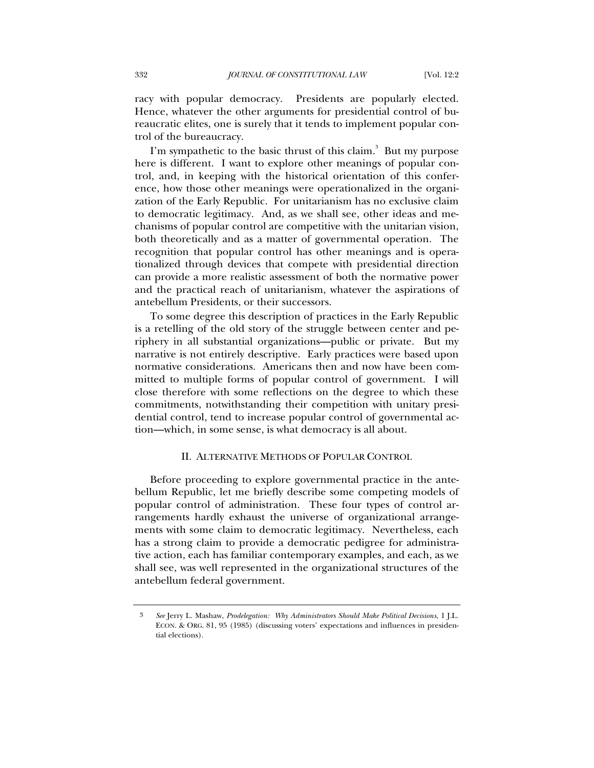racy with popular democracy. Presidents are popularly elected. Hence, whatever the other arguments for presidential control of bureaucratic elites, one is surely that it tends to implement popular control of the bureaucracy.

I'm sympathetic to the basic thrust of this claim.<sup>3</sup> But my purpose here is different. I want to explore other meanings of popular control, and, in keeping with the historical orientation of this conference, how those other meanings were operationalized in the organization of the Early Republic. For unitarianism has no exclusive claim to democratic legitimacy. And, as we shall see, other ideas and mechanisms of popular control are competitive with the unitarian vision, both theoretically and as a matter of governmental operation. The recognition that popular control has other meanings and is operationalized through devices that compete with presidential direction can provide a more realistic assessment of both the normative power and the practical reach of unitarianism, whatever the aspirations of antebellum Presidents, or their successors.

To some degree this description of practices in the Early Republic is a retelling of the old story of the struggle between center and periphery in all substantial organizations—public or private. But my narrative is not entirely descriptive. Early practices were based upon normative considerations. Americans then and now have been committed to multiple forms of popular control of government. I will close therefore with some reflections on the degree to which these commitments, notwithstanding their competition with unitary presidential control, tend to increase popular control of governmental action—which, in some sense, is what democracy is all about.

## II. ALTERNATIVE METHODS OF POPULAR CONTROL

Before proceeding to explore governmental practice in the antebellum Republic, let me briefly describe some competing models of popular control of administration. These four types of control arrangements hardly exhaust the universe of organizational arrangements with some claim to democratic legitimacy. Nevertheless, each has a strong claim to provide a democratic pedigree for administrative action, each has familiar contemporary examples, and each, as we shall see, was well represented in the organizational structures of the antebellum federal government.

<sup>3</sup> *See* Jerry L. Mashaw, *Prodelegation: Why Administrators Should Make Political Decisions*, 1 J.L. ECON. & ORG. 81, 95 (1985) (discussing voters' expectations and influences in presidential elections).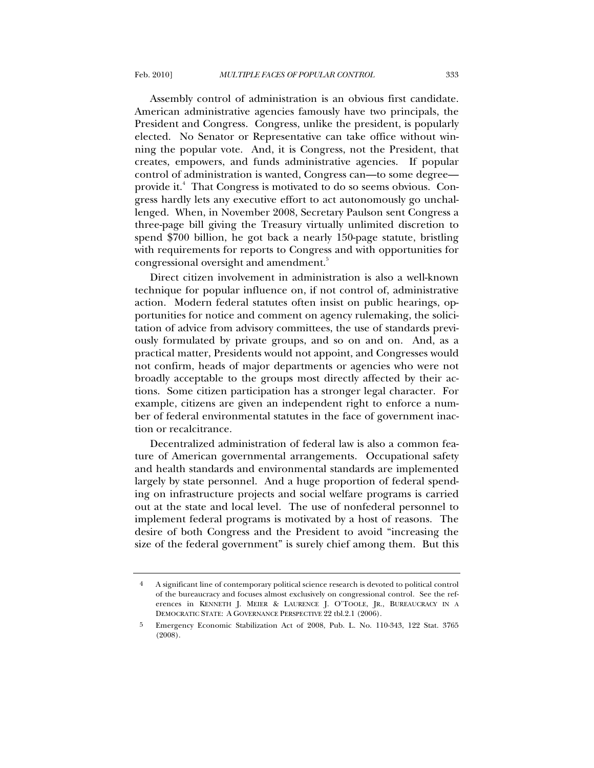Assembly control of administration is an obvious first candidate. American administrative agencies famously have two principals, the President and Congress. Congress, unlike the president, is popularly elected. No Senator or Representative can take office without winning the popular vote. And, it is Congress, not the President, that creates, empowers, and funds administrative agencies. If popular control of administration is wanted, Congress can—to some degree provide it.<sup>4</sup> That Congress is motivated to do so seems obvious. Congress hardly lets any executive effort to act autonomously go unchallenged. When, in November 2008, Secretary Paulson sent Congress a three-page bill giving the Treasury virtually unlimited discretion to spend \$700 billion, he got back a nearly 150-page statute, bristling with requirements for reports to Congress and with opportunities for congressional oversight and amendment.<sup>5</sup>

Direct citizen involvement in administration is also a well-known technique for popular influence on, if not control of, administrative action. Modern federal statutes often insist on public hearings, opportunities for notice and comment on agency rulemaking, the solicitation of advice from advisory committees, the use of standards previously formulated by private groups, and so on and on. And, as a practical matter, Presidents would not appoint, and Congresses would not confirm, heads of major departments or agencies who were not broadly acceptable to the groups most directly affected by their actions. Some citizen participation has a stronger legal character. For example, citizens are given an independent right to enforce a number of federal environmental statutes in the face of government inaction or recalcitrance.

Decentralized administration of federal law is also a common feature of American governmental arrangements. Occupational safety and health standards and environmental standards are implemented largely by state personnel. And a huge proportion of federal spending on infrastructure projects and social welfare programs is carried out at the state and local level. The use of nonfederal personnel to implement federal programs is motivated by a host of reasons. The desire of both Congress and the President to avoid "increasing the size of the federal government" is surely chief among them. But this

<sup>4</sup> A significant line of contemporary political science research is devoted to political control of the bureaucracy and focuses almost exclusively on congressional control. See the references in KENNETH J. MEIER & LAURENCE J. O'TOOLE, JR., BUREAUCRACY IN A DEMOCRATIC STATE: A GOVERNANCE PERSPECTIVE 22 tbl.2.1 (2006).

<sup>5</sup> Emergency Economic Stabilization Act of 2008, Pub. L. No. 110-343, 122 Stat. 3765 (2008).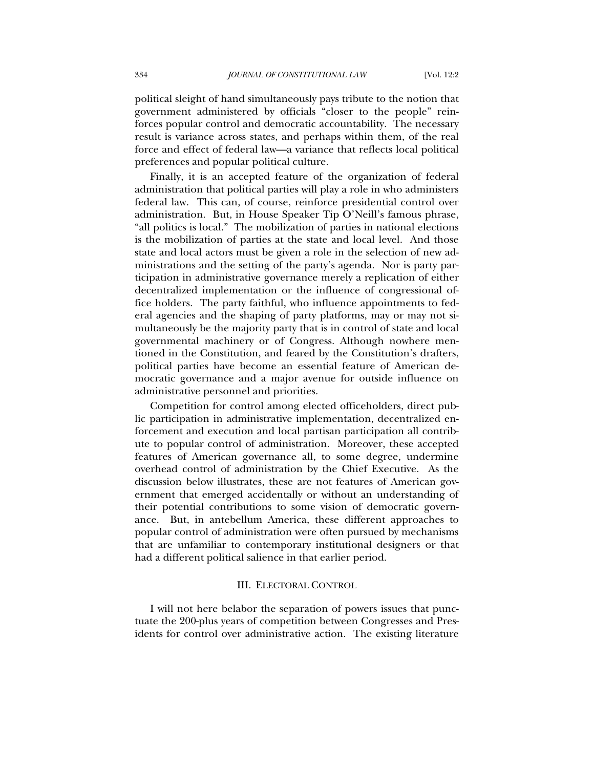political sleight of hand simultaneously pays tribute to the notion that government administered by officials "closer to the people" reinforces popular control and democratic accountability. The necessary result is variance across states, and perhaps within them, of the real force and effect of federal law—a variance that reflects local political preferences and popular political culture.

Finally, it is an accepted feature of the organization of federal administration that political parties will play a role in who administers federal law. This can, of course, reinforce presidential control over administration. But, in House Speaker Tip O'Neill's famous phrase, "all politics is local." The mobilization of parties in national elections is the mobilization of parties at the state and local level. And those state and local actors must be given a role in the selection of new administrations and the setting of the party's agenda. Nor is party participation in administrative governance merely a replication of either decentralized implementation or the influence of congressional office holders. The party faithful, who influence appointments to federal agencies and the shaping of party platforms, may or may not simultaneously be the majority party that is in control of state and local governmental machinery or of Congress. Although nowhere mentioned in the Constitution, and feared by the Constitution's drafters, political parties have become an essential feature of American democratic governance and a major avenue for outside influence on administrative personnel and priorities.

Competition for control among elected officeholders, direct public participation in administrative implementation, decentralized enforcement and execution and local partisan participation all contribute to popular control of administration. Moreover, these accepted features of American governance all, to some degree, undermine overhead control of administration by the Chief Executive. As the discussion below illustrates, these are not features of American government that emerged accidentally or without an understanding of their potential contributions to some vision of democratic governance. But, in antebellum America, these different approaches to popular control of administration were often pursued by mechanisms that are unfamiliar to contemporary institutional designers or that had a different political salience in that earlier period.

#### III. ELECTORAL CONTROL

I will not here belabor the separation of powers issues that punctuate the 200-plus years of competition between Congresses and Presidents for control over administrative action. The existing literature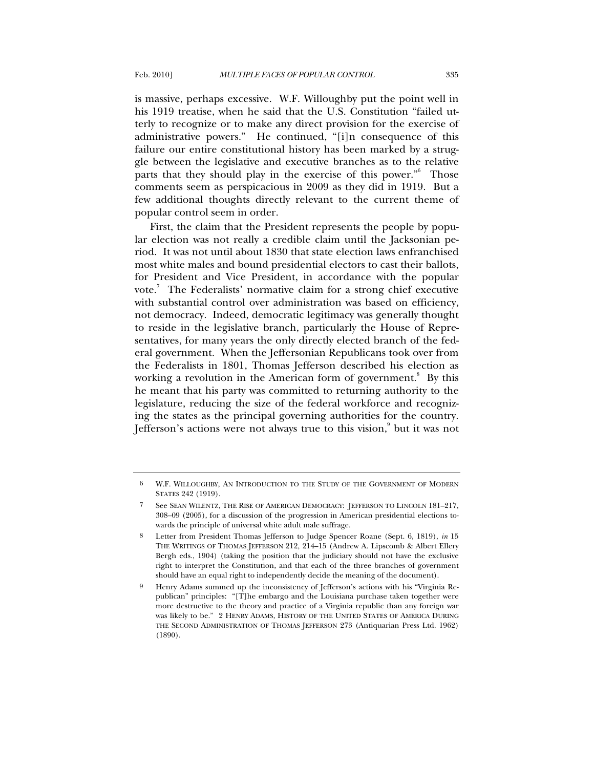is massive, perhaps excessive. W.F. Willoughby put the point well in his 1919 treatise, when he said that the U.S. Constitution "failed utterly to recognize or to make any direct provision for the exercise of administrative powers." He continued, "[i]n consequence of this failure our entire constitutional history has been marked by a struggle between the legislative and executive branches as to the relative parts that they should play in the exercise of this power."<sup>6</sup> Those comments seem as perspicacious in 2009 as they did in 1919. But a few additional thoughts directly relevant to the current theme of popular control seem in order.

First, the claim that the President represents the people by popular election was not really a credible claim until the Jacksonian period. It was not until about 1830 that state election laws enfranchised most white males and bound presidential electors to cast their ballots, for President and Vice President, in accordance with the popular vote.<sup>7</sup> The Federalists' normative claim for a strong chief executive with substantial control over administration was based on efficiency, not democracy. Indeed, democratic legitimacy was generally thought to reside in the legislative branch, particularly the House of Representatives, for many years the only directly elected branch of the federal government. When the Jeffersonian Republicans took over from the Federalists in 1801, Thomas Jefferson described his election as working a revolution in the American form of government.<sup>8</sup> By this he meant that his party was committed to returning authority to the legislature, reducing the size of the federal workforce and recognizing the states as the principal governing authorities for the country. Jefferson's actions were not always true to this vision, $\degree$  but it was not

<sup>6</sup> W.F. WILLOUGHBY, AN INTRODUCTION TO THE STUDY OF THE GOVERNMENT OF MODERN STATES 242 (1919).

See SEAN WILENTZ, THE RISE OF AMERICAN DEMOCRACY: JEFFERSON TO LINCOLN 181-217, 308–09 (2005), for a discussion of the progression in American presidential elections towards the principle of universal white adult male suffrage.

<sup>8</sup> Letter from President Thomas Jefferson to Judge Spencer Roane (Sept. 6, 1819), *in* 15 THE WRITINGS OF THOMAS JEFFERSON 212, 214–15 (Andrew A. Lipscomb & Albert Ellery Bergh eds., 1904) (taking the position that the judiciary should not have the exclusive right to interpret the Constitution, and that each of the three branches of government should have an equal right to independently decide the meaning of the document).

<sup>9</sup> Henry Adams summed up the inconsistency of Jefferson's actions with his "Virginia Republican" principles: "[T]he embargo and the Louisiana purchase taken together were more destructive to the theory and practice of a Virginia republic than any foreign war was likely to be." 2 HENRY ADAMS, HISTORY OF THE UNITED STATES OF AMERICA DURING THE SECOND ADMINISTRATION OF THOMAS JEFFERSON 273 (Antiquarian Press Ltd. 1962) (1890).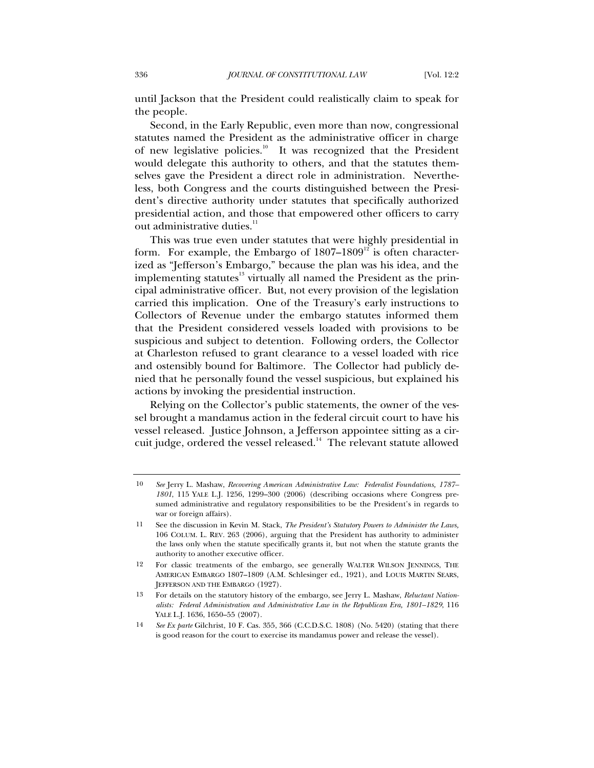until Jackson that the President could realistically claim to speak for the people.

Second, in the Early Republic, even more than now, congressional statutes named the President as the administrative officer in charge of new legislative policies.<sup>10</sup> It was recognized that the President would delegate this authority to others, and that the statutes themselves gave the President a direct role in administration. Nevertheless, both Congress and the courts distinguished between the President's directive authority under statutes that specifically authorized presidential action, and those that empowered other officers to carry out administrative duties.<sup>11</sup>

This was true even under statutes that were highly presidential in form. For example, the Embargo of  $1807-1809<sup>12</sup>$  is often characterized as "Jefferson's Embargo," because the plan was his idea, and the implementing statutes $13$  virtually all named the President as the principal administrative officer. But, not every provision of the legislation carried this implication. One of the Treasury's early instructions to Collectors of Revenue under the embargo statutes informed them that the President considered vessels loaded with provisions to be suspicious and subject to detention. Following orders, the Collector at Charleston refused to grant clearance to a vessel loaded with rice and ostensibly bound for Baltimore. The Collector had publicly denied that he personally found the vessel suspicious, but explained his actions by invoking the presidential instruction.

Relying on the Collector's public statements, the owner of the vessel brought a mandamus action in the federal circuit court to have his vessel released. Justice Johnson, a Jefferson appointee sitting as a circuit judge, ordered the vessel released.<sup>14</sup> The relevant statute allowed

<sup>10</sup> *See* Jerry L. Mashaw, *Recovering American Administrative Law: Federalist Foundations, 1787– 1801*, 115 YALE L.J. 1256, 1299–300 (2006) (describing occasions where Congress presumed administrative and regulatory responsibilities to be the President's in regards to war or foreign affairs).

<sup>11</sup> See the discussion in Kevin M. Stack, *The President's Statutory Powers to Administer the Laws,* 106 COLUM. L. REV. 263 (2006), arguing that the President has authority to administer the laws only when the statute specifically grants it, but not when the statute grants the authority to another executive officer.

<sup>12</sup> For classic treatments of the embargo, see generally WALTER WILSON JENNINGS, THE AMERICAN EMBARGO 1807–1809 (A.M. Schlesinger ed., 1921), and LOUIS MARTIN SEARS, JEFFERSON AND THE EMBARGO (1927).

<sup>13</sup> For details on the statutory history of the embargo, see Jerry L. Mashaw, *Reluctant Nationalists: Federal Administration and Administrative Law in the Republican Era, 1801–1829*, 116 YALE L.J. 1636, 1650–55 (2007).

<sup>14</sup> *See Ex parte* Gilchrist, 10 F. Cas. 355, 366 (C.C.D.S.C. 1808) (No. 5420) (stating that there is good reason for the court to exercise its mandamus power and release the vessel).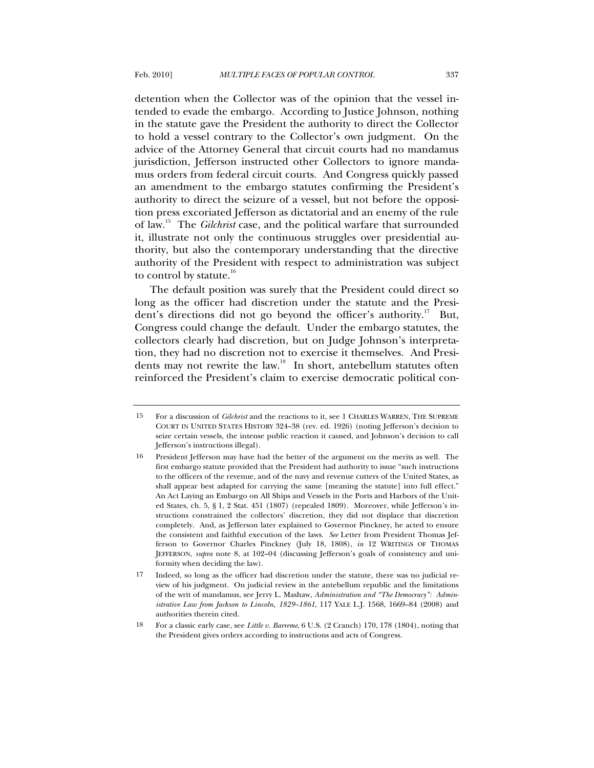detention when the Collector was of the opinion that the vessel intended to evade the embargo. According to Justice Johnson, nothing in the statute gave the President the authority to direct the Collector to hold a vessel contrary to the Collector's own judgment. On the advice of the Attorney General that circuit courts had no mandamus jurisdiction, Jefferson instructed other Collectors to ignore mandamus orders from federal circuit courts. And Congress quickly passed an amendment to the embargo statutes confirming the President's authority to direct the seizure of a vessel, but not before the opposition press excoriated Jefferson as dictatorial and an enemy of the rule of law.15 The *Gilchrist* case, and the political warfare that surrounded it, illustrate not only the continuous struggles over presidential authority, but also the contemporary understanding that the directive authority of the President with respect to administration was subject to control by statute. $16$ 

The default position was surely that the President could direct so long as the officer had discretion under the statute and the President's directions did not go beyond the officer's authority.<sup>17</sup> But, Congress could change the default. Under the embargo statutes, the collectors clearly had discretion, but on Judge Johnson's interpretation, they had no discretion not to exercise it themselves. And Presidents may not rewrite the law.<sup>18</sup> In short, antebellum statutes often reinforced the President's claim to exercise democratic political con-

<sup>15</sup> For a discussion of *Gilchrist* and the reactions to it, see 1 CHARLES WARREN, THE SUPREME COURT IN UNITED STATES HISTORY 324–38 (rev. ed. 1926) (noting Jefferson's decision to seize certain vessels, the intense public reaction it caused, and Johnson's decision to call Jefferson's instructions illegal).

<sup>16</sup> President Jefferson may have had the better of the argument on the merits as well. The first embargo statute provided that the President had authority to issue "such instructions to the officers of the revenue, and of the navy and revenue cutters of the United States, as shall appear best adapted for carrying the same [meaning the statute] into full effect." An Act Laying an Embargo on All Ships and Vessels in the Ports and Harbors of the United States, ch. 5, § 1, 2 Stat. 451 (1807) (repealed 1809). Moreover, while Jefferson's instructions constrained the collectors' discretion, they did not displace that discretion completely. And, as Jefferson later explained to Governor Pinckney, he acted to ensure the consistent and faithful execution of the laws. *See* Letter from President Thomas Jefferson to Governor Charles Pinckney (July 18, 1808), *in* 12 WRITINGS OF THOMAS JEFFERSON, *supra* note 8, at 102–04 (discussing Jefferson's goals of consistency and uniformity when deciding the law).

<sup>17</sup> Indeed, so long as the officer had discretion under the statute, there was no judicial review of his judgment. On judicial review in the antebellum republic and the limitations of the writ of mandamus, see Jerry L. Mashaw, *Administration and "The Democracy": Administrative Law from Jackson to Lincoln, 1829–1861*, 117 YALE L.J. 1568, 1669–84 (2008) and authorities therein cited.

<sup>18</sup> For a classic early case, see *Little v. Barreme*, 6 U.S. (2 Cranch) 170, 178 (1804), noting that the President gives orders according to instructions and acts of Congress.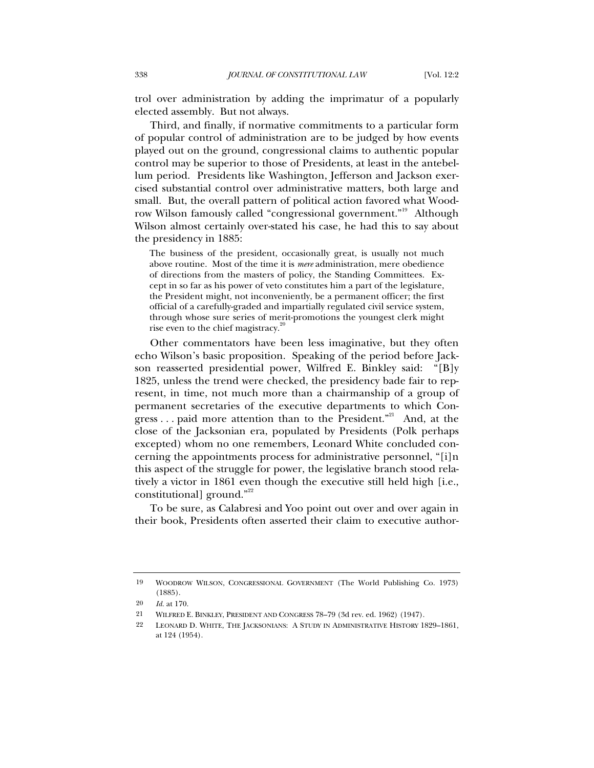trol over administration by adding the imprimatur of a popularly elected assembly. But not always.

Third, and finally, if normative commitments to a particular form of popular control of administration are to be judged by how events played out on the ground, congressional claims to authentic popular control may be superior to those of Presidents, at least in the antebellum period. Presidents like Washington, Jefferson and Jackson exercised substantial control over administrative matters, both large and small. But, the overall pattern of political action favored what Woodrow Wilson famously called "congressional government."<sup>19</sup> Although Wilson almost certainly over-stated his case, he had this to say about the presidency in 1885:

The business of the president, occasionally great, is usually not much above routine. Most of the time it is *mere* administration, mere obedience of directions from the masters of policy, the Standing Committees. Except in so far as his power of veto constitutes him a part of the legislature, the President might, not inconveniently, be a permanent officer; the first official of a carefully-graded and impartially regulated civil service system, through whose sure series of merit-promotions the youngest clerk might rise even to the chief magistracy.<sup>2</sup>

Other commentators have been less imaginative, but they often echo Wilson's basic proposition. Speaking of the period before Jackson reasserted presidential power, Wilfred E. Binkley said: "[B]y 1825, unless the trend were checked, the presidency bade fair to represent, in time, not much more than a chairmanship of a group of permanent secretaries of the executive departments to which Congress . . . paid more attention than to the President."<sup>21</sup> And, at the close of the Jacksonian era, populated by Presidents (Polk perhaps excepted) whom no one remembers, Leonard White concluded concerning the appointments process for administrative personnel, "[i]n this aspect of the struggle for power, the legislative branch stood relatively a victor in 1861 even though the executive still held high [i.e., constitutional] ground."<sup>22</sup>

To be sure, as Calabresi and Yoo point out over and over again in their book, Presidents often asserted their claim to executive author-

<sup>19</sup> WOODROW WILSON, CONGRESSIONAL GOVERNMENT (The World Publishing Co. 1973) (1885).

<sup>20</sup> *Id.* at 170.

<sup>21</sup> WILFRED E. BINKLEY, PRESIDENT AND CONGRESS 78–79 (3d rev. ed. 1962) (1947).

<sup>22</sup> LEONARD D. WHITE, THE JACKSONIANS: A STUDY IN ADMINISTRATIVE HISTORY 1829–1861, at 124 (1954).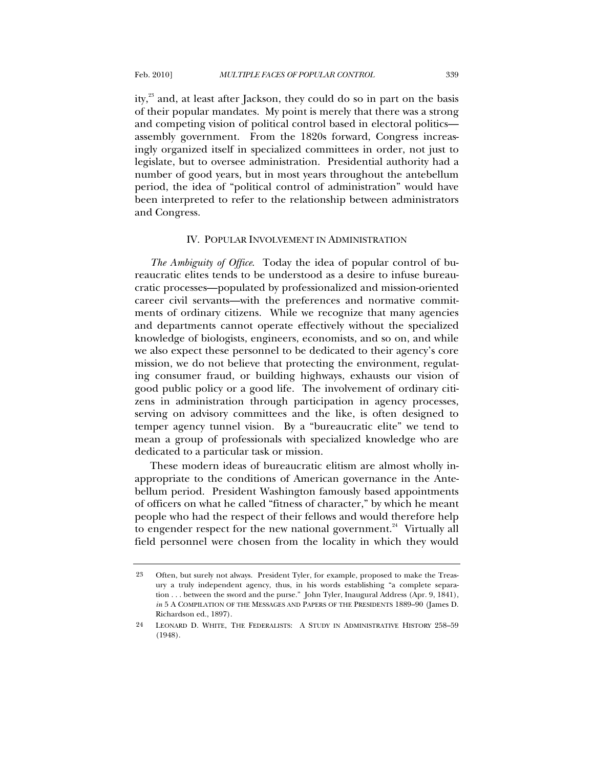ity, $2<sup>3</sup>$  and, at least after Jackson, they could do so in part on the basis of their popular mandates. My point is merely that there was a strong and competing vision of political control based in electoral politics assembly government. From the 1820s forward, Congress increasingly organized itself in specialized committees in order, not just to legislate, but to oversee administration. Presidential authority had a number of good years, but in most years throughout the antebellum period, the idea of "political control of administration" would have been interpreted to refer to the relationship between administrators and Congress.

#### IV. POPULAR INVOLVEMENT IN ADMINISTRATION

*The Ambiguity of Office*. Today the idea of popular control of bureaucratic elites tends to be understood as a desire to infuse bureaucratic processes—populated by professionalized and mission-oriented career civil servants—with the preferences and normative commitments of ordinary citizens. While we recognize that many agencies and departments cannot operate effectively without the specialized knowledge of biologists, engineers, economists, and so on, and while we also expect these personnel to be dedicated to their agency's core mission, we do not believe that protecting the environment, regulating consumer fraud, or building highways, exhausts our vision of good public policy or a good life. The involvement of ordinary citizens in administration through participation in agency processes, serving on advisory committees and the like, is often designed to temper agency tunnel vision. By a "bureaucratic elite" we tend to mean a group of professionals with specialized knowledge who are dedicated to a particular task or mission.

These modern ideas of bureaucratic elitism are almost wholly inappropriate to the conditions of American governance in the Antebellum period. President Washington famously based appointments of officers on what he called "fitness of character," by which he meant people who had the respect of their fellows and would therefore help to engender respect for the new national government.<sup>24</sup> Virtually all field personnel were chosen from the locality in which they would

<sup>23</sup> Often, but surely not always. President Tyler, for example, proposed to make the Treasury a truly independent agency, thus, in his words establishing "a complete separation . . . between the sword and the purse." John Tyler, Inaugural Address (Apr. 9, 1841), *in* 5 A COMPILATION OF THE MESSAGES AND PAPERS OF THE PRESIDENTS 1889–90 (James D. Richardson ed., 1897).

<sup>24</sup> LEONARD D. WHITE, THE FEDERALISTS: A STUDY IN ADMINISTRATIVE HISTORY 258–59 (1948).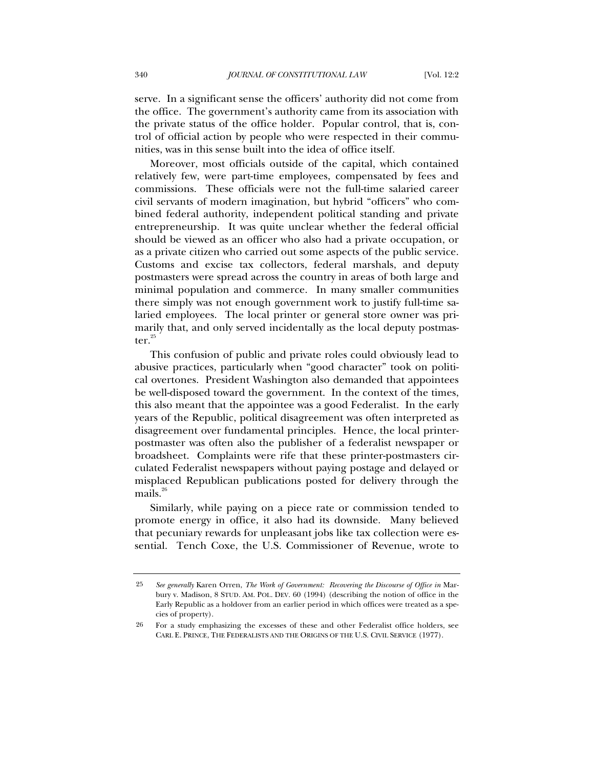serve. In a significant sense the officers' authority did not come from the office. The government's authority came from its association with the private status of the office holder. Popular control, that is, control of official action by people who were respected in their communities, was in this sense built into the idea of office itself.

Moreover, most officials outside of the capital, which contained relatively few, were part-time employees, compensated by fees and commissions. These officials were not the full-time salaried career civil servants of modern imagination, but hybrid "officers" who combined federal authority, independent political standing and private entrepreneurship. It was quite unclear whether the federal official should be viewed as an officer who also had a private occupation, or as a private citizen who carried out some aspects of the public service. Customs and excise tax collectors, federal marshals, and deputy postmasters were spread across the country in areas of both large and minimal population and commerce. In many smaller communities there simply was not enough government work to justify full-time salaried employees. The local printer or general store owner was primarily that, and only served incidentally as the local deputy postmaster. $25$ 

This confusion of public and private roles could obviously lead to abusive practices, particularly when "good character" took on political overtones. President Washington also demanded that appointees be well-disposed toward the government. In the context of the times, this also meant that the appointee was a good Federalist. In the early years of the Republic, political disagreement was often interpreted as disagreement over fundamental principles. Hence, the local printerpostmaster was often also the publisher of a federalist newspaper or broadsheet. Complaints were rife that these printer-postmasters circulated Federalist newspapers without paying postage and delayed or misplaced Republican publications posted for delivery through the mails. $^{26}$ 

Similarly, while paying on a piece rate or commission tended to promote energy in office, it also had its downside. Many believed that pecuniary rewards for unpleasant jobs like tax collection were essential. Tench Coxe, the U.S. Commissioner of Revenue, wrote to

<sup>25</sup> *See generally* Karen Orren, *The Work of Government: Recovering the Discourse of Office in* Marbury v. Madison, 8 STUD. AM. POL. DEV. 60 (1994) (describing the notion of office in the Early Republic as a holdover from an earlier period in which offices were treated as a species of property).

<sup>26</sup> For a study emphasizing the excesses of these and other Federalist office holders, see CARL E. PRINCE, THE FEDERALISTS AND THE ORIGINS OF THE U.S. CIVIL SERVICE (1977).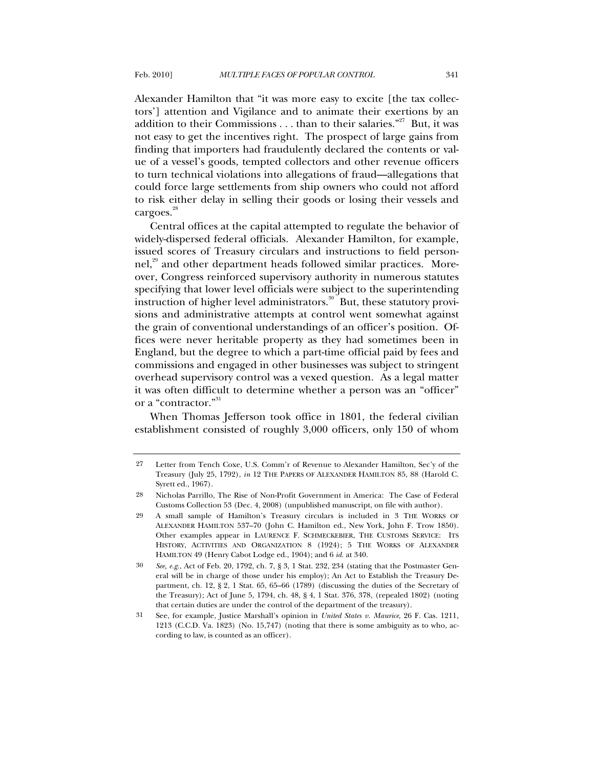Alexander Hamilton that "it was more easy to excite [the tax collectors'] attention and Vigilance and to animate their exertions by an addition to their Commissions  $\dots$  than to their salaries."<sup>27</sup> But, it was not easy to get the incentives right. The prospect of large gains from finding that importers had fraudulently declared the contents or value of a vessel's goods, tempted collectors and other revenue officers to turn technical violations into allegations of fraud—allegations that could force large settlements from ship owners who could not afford to risk either delay in selling their goods or losing their vessels and cargoes.<sup>28</sup>

Central offices at the capital attempted to regulate the behavior of widely-dispersed federal officials. Alexander Hamilton, for example, issued scores of Treasury circulars and instructions to field personnel,<sup>29</sup> and other department heads followed similar practices. Moreover, Congress reinforced supervisory authority in numerous statutes specifying that lower level officials were subject to the superintending instruction of higher level administrators.<sup>30</sup> But, these statutory provisions and administrative attempts at control went somewhat against the grain of conventional understandings of an officer's position. Offices were never heritable property as they had sometimes been in England, but the degree to which a part-time official paid by fees and commissions and engaged in other businesses was subject to stringent overhead supervisory control was a vexed question. As a legal matter it was often difficult to determine whether a person was an "officer" or a "contractor."<sup>31</sup>

When Thomas Jefferson took office in 1801, the federal civilian establishment consisted of roughly 3,000 officers, only 150 of whom

<sup>27</sup> Letter from Tench Coxe, U.S. Comm'r of Revenue to Alexander Hamilton, Sec'y of the Treasury (July 25, 1792), *in* 12 THE PAPERS OF ALEXANDER HAMILTON 85, 88 (Harold C. Syrett ed., 1967).

<sup>28</sup> Nicholas Parrillo, The Rise of Non-Profit Government in America: The Case of Federal Customs Collection 53 (Dec. 4, 2008) (unpublished manuscript, on file with author).

<sup>29</sup> A small sample of Hamilton's Treasury circulars is included in 3 THE WORKS OF ALEXANDER HAMILTON 537–70 (John C. Hamilton ed., New York, John F. Trow 1850). Other examples appear in LAURENCE F. SCHMECKEBIER, THE CUSTOMS SERVICE: ITS HISTORY, ACTIVITIES AND ORGANIZATION 8 (1924); 5 THE WORKS OF ALEXANDER HAMILTON 49 (Henry Cabot Lodge ed., 1904); and 6 *id.* at 340.

<sup>30</sup> *See, e.g.*, Act of Feb. 20, 1792, ch. 7, § 3, 1 Stat. 232, 234 (stating that the Postmaster General will be in charge of those under his employ); An Act to Establish the Treasury Department, ch. 12, § 2, 1 Stat. 65, 65–66 (1789) (discussing the duties of the Secretary of the Treasury); Act of June 5, 1794, ch. 48, § 4, 1 Stat. 376, 378, (repealed 1802) (noting that certain duties are under the control of the department of the treasury).

<sup>31</sup> See, for example, Justice Marshall's opinion in *United States v. Maurice*, 26 F. Cas. 1211, 1213 (C.C.D. Va. 1823) (No. 15,747) (noting that there is some ambiguity as to who, according to law, is counted as an officer).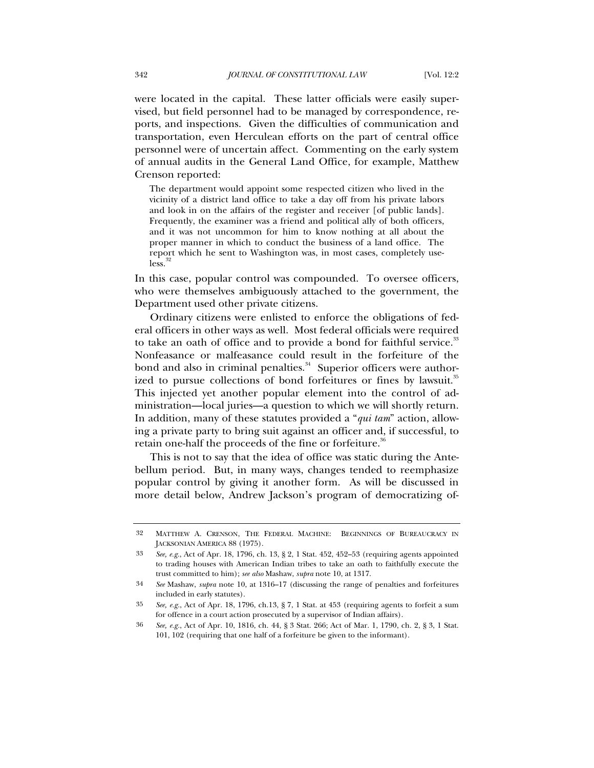were located in the capital. These latter officials were easily supervised, but field personnel had to be managed by correspondence, reports, and inspections. Given the difficulties of communication and transportation, even Herculean efforts on the part of central office personnel were of uncertain affect. Commenting on the early system of annual audits in the General Land Office, for example, Matthew Crenson reported:

The department would appoint some respected citizen who lived in the vicinity of a district land office to take a day off from his private labors and look in on the affairs of the register and receiver [of public lands]. Frequently, the examiner was a friend and political ally of both officers, and it was not uncommon for him to know nothing at all about the proper manner in which to conduct the business of a land office. The report which he sent to Washington was, in most cases, completely useless.

In this case, popular control was compounded. To oversee officers, who were themselves ambiguously attached to the government, the Department used other private citizens.

Ordinary citizens were enlisted to enforce the obligations of federal officers in other ways as well. Most federal officials were required to take an oath of office and to provide a bond for faithful service.<sup>33</sup> Nonfeasance or malfeasance could result in the forfeiture of the bond and also in criminal penalties. $34$  Superior officers were authorized to pursue collections of bond forfeitures or fines by lawsuit.<sup>35</sup> This injected yet another popular element into the control of administration—local juries—a question to which we will shortly return. In addition, many of these statutes provided a "*qui tam*" action, allowing a private party to bring suit against an officer and, if successful, to retain one-half the proceeds of the fine or forfeiture.<sup>36</sup>

This is not to say that the idea of office was static during the Antebellum period. But, in many ways, changes tended to reemphasize popular control by giving it another form. As will be discussed in more detail below, Andrew Jackson's program of democratizing of-

<sup>32</sup> MATTHEW A. CRENSON, THE FEDERAL MACHINE: BEGINNINGS OF BUREAUCRACY IN JACKSONIAN AMERICA 88 (1975).

<sup>33</sup> *See, e.g.*, Act of Apr. 18, 1796, ch. 13, § 2, 1 Stat. 452, 452–53 (requiring agents appointed to trading houses with American Indian tribes to take an oath to faithfully execute the trust committed to him); *see also* Mashaw, *supra* note 10, at 1317.

<sup>34</sup> *See* Mashaw, *supra* note 10, at 1316–17 (discussing the range of penalties and forfeitures included in early statutes).

<sup>35</sup> *See, e.g.*, Act of Apr. 18, 1796, ch.13, § 7, 1 Stat. at 453 (requiring agents to forfeit a sum for offence in a court action prosecuted by a supervisor of Indian affairs).

<sup>36</sup> *See, e.g.*, Act of Apr. 10, 1816, ch. 44, § 3 Stat. 266; Act of Mar. 1, 1790, ch. 2, § 3, 1 Stat. 101, 102 (requiring that one half of a forfeiture be given to the informant).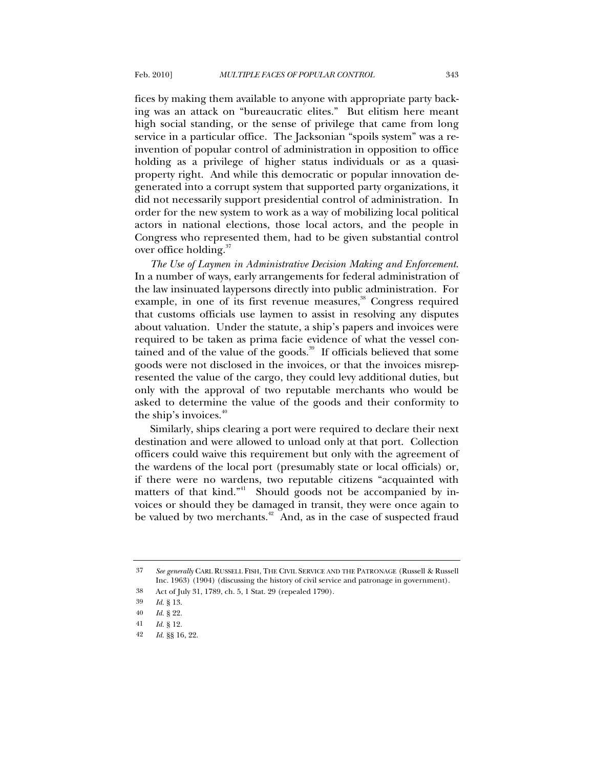fices by making them available to anyone with appropriate party backing was an attack on "bureaucratic elites." But elitism here meant high social standing, or the sense of privilege that came from long service in a particular office. The Jacksonian "spoils system" was a reinvention of popular control of administration in opposition to office holding as a privilege of higher status individuals or as a quasiproperty right. And while this democratic or popular innovation degenerated into a corrupt system that supported party organizations, it did not necessarily support presidential control of administration. In order for the new system to work as a way of mobilizing local political actors in national elections, those local actors, and the people in Congress who represented them, had to be given substantial control over office holding.<sup>37</sup>

*The Use of Laymen in Administrative Decision Making and Enforcement*. In a number of ways, early arrangements for federal administration of the law insinuated laypersons directly into public administration. For example, in one of its first revenue measures,<sup>38</sup> Congress required that customs officials use laymen to assist in resolving any disputes about valuation. Under the statute, a ship's papers and invoices were required to be taken as prima facie evidence of what the vessel contained and of the value of the goods.<sup>39</sup> If officials believed that some goods were not disclosed in the invoices, or that the invoices misrepresented the value of the cargo, they could levy additional duties, but only with the approval of two reputable merchants who would be asked to determine the value of the goods and their conformity to the ship's invoices.<sup>40</sup>

Similarly, ships clearing a port were required to declare their next destination and were allowed to unload only at that port. Collection officers could waive this requirement but only with the agreement of the wardens of the local port (presumably state or local officials) or, if there were no wardens, two reputable citizens "acquainted with matters of that kind."<sup>41</sup> Should goods not be accompanied by invoices or should they be damaged in transit, they were once again to be valued by two merchants.<sup>42</sup> And, as in the case of suspected fraud

<sup>37</sup> *See generally* CARL RUSSELL FISH, THE CIVIL SERVICE AND THE PATRONAGE (Russell & Russell Inc. 1963) (1904) (discussing the history of civil service and patronage in government).

<sup>38</sup> Act of July 31, 1789, ch. 5, 1 Stat. 29 (repealed 1790).

<sup>39</sup> *Id.* § 13.

<sup>40</sup> *Id.* § 22.

<sup>41</sup> *Id.* § 12.

<sup>42</sup> *Id.* §§ 16, 22.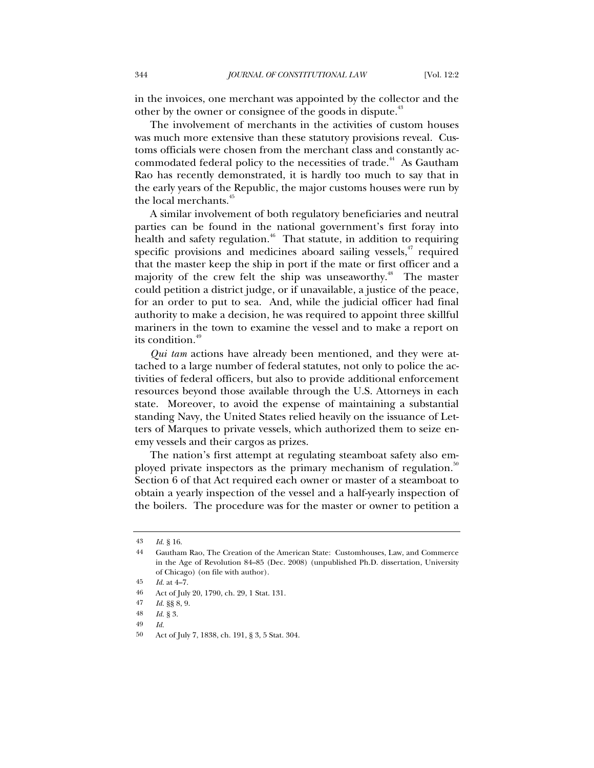in the invoices, one merchant was appointed by the collector and the other by the owner or consignee of the goods in dispute.<sup>43</sup>

The involvement of merchants in the activities of custom houses was much more extensive than these statutory provisions reveal. Customs officials were chosen from the merchant class and constantly accommodated federal policy to the necessities of trade.<sup>44</sup> As Gautham Rao has recently demonstrated, it is hardly too much to say that in the early years of the Republic, the major customs houses were run by the local merchants.<sup>45</sup>

A similar involvement of both regulatory beneficiaries and neutral parties can be found in the national government's first foray into health and safety regulation.<sup>46</sup> That statute, in addition to requiring specific provisions and medicines aboard sailing vessels, $47$  required that the master keep the ship in port if the mate or first officer and a majority of the crew felt the ship was unseaworthy.<sup>48</sup> The master could petition a district judge, or if unavailable, a justice of the peace, for an order to put to sea. And, while the judicial officer had final authority to make a decision, he was required to appoint three skillful mariners in the town to examine the vessel and to make a report on its condition.<sup>49</sup>

*Qui tam* actions have already been mentioned, and they were attached to a large number of federal statutes, not only to police the activities of federal officers, but also to provide additional enforcement resources beyond those available through the U.S. Attorneys in each state. Moreover, to avoid the expense of maintaining a substantial standing Navy, the United States relied heavily on the issuance of Letters of Marques to private vessels, which authorized them to seize enemy vessels and their cargos as prizes.

The nation's first attempt at regulating steamboat safety also employed private inspectors as the primary mechanism of regulation.<sup>30</sup> Section 6 of that Act required each owner or master of a steamboat to obtain a yearly inspection of the vessel and a half-yearly inspection of the boilers. The procedure was for the master or owner to petition a

<sup>43</sup> *Id.* § 16.

<sup>44</sup> Gautham Rao, The Creation of the American State: Customhouses, Law, and Commerce in the Age of Revolution 84–85 (Dec. 2008) (unpublished Ph.D. dissertation, University of Chicago) (on file with author).

<sup>45</sup> *Id.* at 4–7.

<sup>46</sup> Act of July 20, 1790, ch. 29, 1 Stat. 131.

<sup>47</sup> *Id.* §§ 8, 9.

<sup>48</sup> *Id.* § 3.

<sup>49</sup> *Id.*

<sup>50</sup> Act of July 7, 1838, ch. 191, § 3, 5 Stat. 304.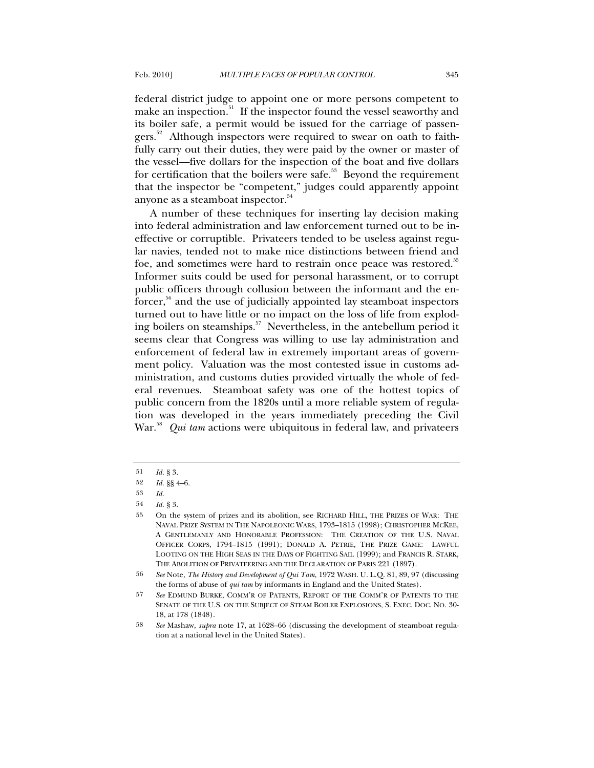federal district judge to appoint one or more persons competent to make an inspection.<sup>51</sup> If the inspector found the vessel seaworthy and its boiler safe, a permit would be issued for the carriage of passengers.<sup>52</sup> Although inspectors were required to swear on oath to faithfully carry out their duties, they were paid by the owner or master of the vessel—five dollars for the inspection of the boat and five dollars for certification that the boilers were safe. $53$  Beyond the requirement that the inspector be "competent," judges could apparently appoint anyone as a steamboat inspector.<sup>54</sup>

A number of these techniques for inserting lay decision making into federal administration and law enforcement turned out to be ineffective or corruptible. Privateers tended to be useless against regular navies, tended not to make nice distinctions between friend and foe, and sometimes were hard to restrain once peace was restored.<sup>55</sup> Informer suits could be used for personal harassment, or to corrupt public officers through collusion between the informant and the enforcer,<sup>56</sup> and the use of judicially appointed lay steamboat inspectors turned out to have little or no impact on the loss of life from exploding boilers on steamships.<sup>57</sup> Nevertheless, in the antebellum period it seems clear that Congress was willing to use lay administration and enforcement of federal law in extremely important areas of government policy. Valuation was the most contested issue in customs administration, and customs duties provided virtually the whole of federal revenues. Steamboat safety was one of the hottest topics of public concern from the 1820s until a more reliable system of regulation was developed in the years immediately preceding the Civil War.<sup>58</sup> *Qui tam* actions were ubiquitous in federal law, and privateers

<sup>51</sup> *Id.* § 3.

<sup>52</sup> *Id.* §§ 4–6.

<sup>53</sup> *Id.*

<sup>54</sup> *Id.* § 3.

<sup>55</sup> On the system of prizes and its abolition, see RICHARD HILL, THE PRIZES OF WAR: THE NAVAL PRIZE SYSTEM IN THE NAPOLEONIC WARS, 1793–1815 (1998); CHRISTOPHER MCKEE, A GENTLEMANLY AND HONORABLE PROFESSION: THE CREATION OF THE U.S. NAVAL OFFICER CORPS, 1794–1815 (1991); DONALD A. PETRIE, THE PRIZE GAME: LAWFUL LOOTING ON THE HIGH SEAS IN THE DAYS OF FIGHTING SAIL (1999); and FRANCIS R. STARK, THE ABOLITION OF PRIVATEERING AND THE DECLARATION OF PARIS 221 (1897).

<sup>56</sup> *See* Note, *The History and Development of Qui Tam*, 1972 WASH. U. L.Q. 81, 89, 97 (discussing the forms of abuse of *qui tam* by informants in England and the United States).

<sup>57</sup> *See* EDMUND BURKE, COMM'R OF PATENTS, REPORT OF THE COMM'R OF PATENTS TO THE SENATE OF THE U.S. ON THE SUBJECT OF STEAM BOILER EXPLOSIONS, S. EXEC. DOC. NO. 30- 18, at 178 (1848).

<sup>58</sup> *See* Mashaw, *supra* note 17, at 1628–66 (discussing the development of steamboat regulation at a national level in the United States).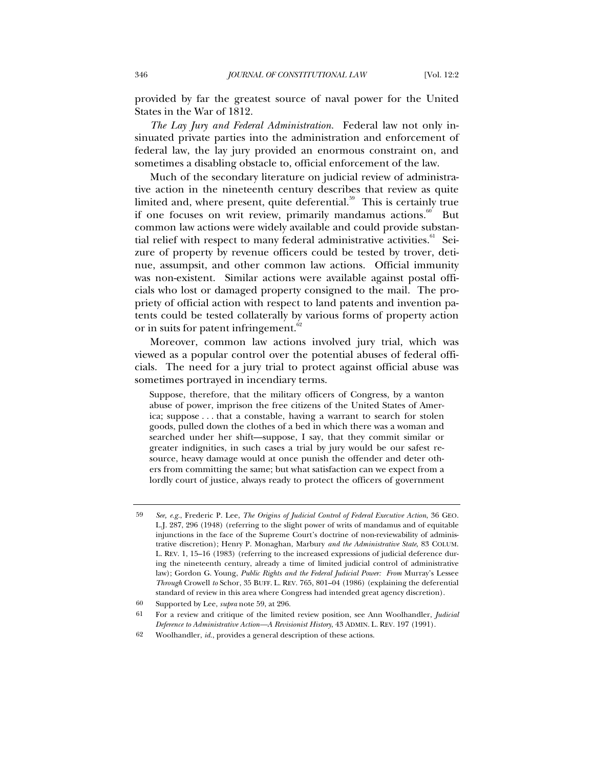provided by far the greatest source of naval power for the United States in the War of 1812.

*The Lay Jury and Federal Administration.* Federal law not only insinuated private parties into the administration and enforcement of federal law, the lay jury provided an enormous constraint on, and sometimes a disabling obstacle to, official enforcement of the law.

Much of the secondary literature on judicial review of administrative action in the nineteenth century describes that review as quite limited and, where present, quite deferential.<sup>59</sup> This is certainly true if one focuses on writ review, primarily mandamus actions. $60$  But common law actions were widely available and could provide substantial relief with respect to many federal administrative activities.<sup>61</sup> Seizure of property by revenue officers could be tested by trover, detinue, assumpsit, and other common law actions. Official immunity was non-existent. Similar actions were available against postal officials who lost or damaged property consigned to the mail. The propriety of official action with respect to land patents and invention patents could be tested collaterally by various forms of property action or in suits for patent infringement.<sup>62</sup>

Moreover, common law actions involved jury trial, which was viewed as a popular control over the potential abuses of federal officials. The need for a jury trial to protect against official abuse was sometimes portrayed in incendiary terms.

Suppose, therefore, that the military officers of Congress, by a wanton abuse of power, imprison the free citizens of the United States of America; suppose . . . that a constable, having a warrant to search for stolen goods, pulled down the clothes of a bed in which there was a woman and searched under her shift—suppose, I say, that they commit similar or greater indignities, in such cases a trial by jury would be our safest resource, heavy damage would at once punish the offender and deter others from committing the same; but what satisfaction can we expect from a lordly court of justice, always ready to protect the officers of government

<sup>59</sup> *See, e.g.*, Frederic P. Lee, *The Origins of Judicial Control of Federal Executive Action*, 36 GEO. L.J. 287, 296 (1948) (referring to the slight power of writs of mandamus and of equitable injunctions in the face of the Supreme Court's doctrine of non-reviewability of administrative discretion); Henry P. Monaghan, Marbury *and the Administrative State*, 83 COLUM. L. REV. 1, 15–16 (1983) (referring to the increased expressions of judicial deference during the nineteenth century, already a time of limited judicial control of administrative law); Gordon G. Young, *Public Rights and the Federal Judicial Power: From* Murray's Lessee *Through* Crowell *to* Schor, 35 BUFF. L. REV. 765, 801–04 (1986) (explaining the deferential standard of review in this area where Congress had intended great agency discretion).

<sup>60</sup> Supported by Lee, *supra* note 59, at 296.

<sup>61</sup> For a review and critique of the limited review position, see Ann Woolhandler, *Judicial Deference to Administrative Action—A Revisionist History*, 43 ADMIN. L. REV. 197 (1991).

<sup>62</sup> Woolhandler, *id.*, provides a general description of these actions.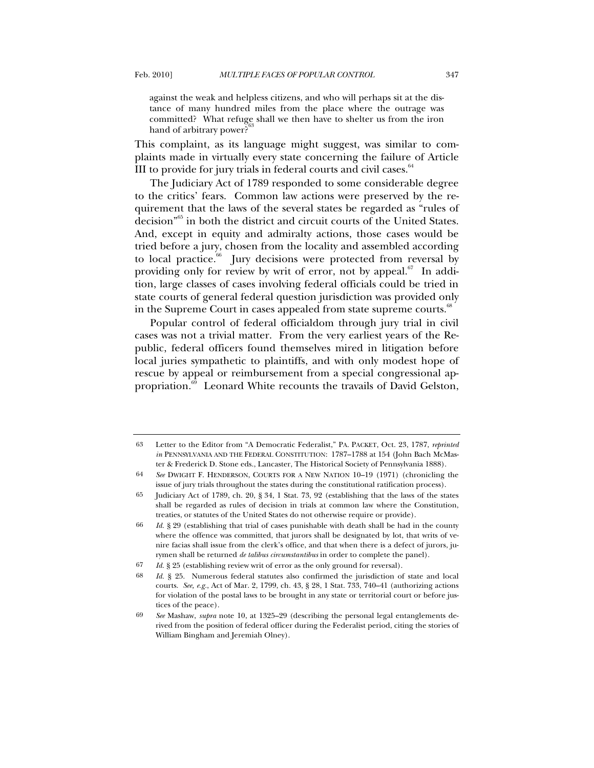against the weak and helpless citizens, and who will perhaps sit at the distance of many hundred miles from the place where the outrage was committed? What refuge shall we then have to shelter us from the iron hand of arbitrary power?<sup>6</sup>

This complaint, as its language might suggest, was similar to complaints made in virtually every state concerning the failure of Article III to provide for jury trials in federal courts and civil cases. $64$ 

The Judiciary Act of 1789 responded to some considerable degree to the critics' fears. Common law actions were preserved by the requirement that the laws of the several states be regarded as "rules of decision"65 in both the district and circuit courts of the United States. And, except in equity and admiralty actions, those cases would be tried before a jury, chosen from the locality and assembled according to local practice. $66$  Jury decisions were protected from reversal by providing only for review by writ of error, not by appeal. $67$  In addition, large classes of cases involving federal officials could be tried in state courts of general federal question jurisdiction was provided only in the Supreme Court in cases appealed from state supreme courts.<sup>88</sup>

Popular control of federal officialdom through jury trial in civil cases was not a trivial matter. From the very earliest years of the Republic, federal officers found themselves mired in litigation before local juries sympathetic to plaintiffs, and with only modest hope of rescue by appeal or reimbursement from a special congressional appropriation.<sup>69</sup> Leonard White recounts the travails of David Gelston,

<sup>63</sup> Letter to the Editor from "A Democratic Federalist," PA. PACKET, Oct. 23, 1787, *reprinted in* PENNSYLVANIA AND THE FEDERAL CONSTITUTION: 1787-1788 at 154 (John Bach McMaster & Frederick D. Stone eds., Lancaster, The Historical Society of Pennsylvania 1888).

<sup>64</sup> *See* DWIGHT F. HENDERSON, COURTS FOR A NEW NATION 10–19 (1971) (chronicling the issue of jury trials throughout the states during the constitutional ratification process).

<sup>65</sup> Judiciary Act of 1789, ch. 20, § 34, 1 Stat. 73, 92 (establishing that the laws of the states shall be regarded as rules of decision in trials at common law where the Constitution, treaties, or statutes of the United States do not otherwise require or provide).

<sup>66</sup> *Id.* § 29 (establishing that trial of cases punishable with death shall be had in the county where the offence was committed, that jurors shall be designated by lot, that writs of venire facias shall issue from the clerk's office, and that when there is a defect of jurors, jurymen shall be returned *de talibus circumstantibus* in order to complete the panel).

<sup>67</sup> *Id.* § 25 (establishing review writ of error as the only ground for reversal).

<sup>68</sup> *Id.* § 25. Numerous federal statutes also confirmed the jurisdiction of state and local courts. *See, e.g.*, Act of Mar. 2, 1799, ch. 43, § 28, 1 Stat. 733, 740–41 (authorizing actions for violation of the postal laws to be brought in any state or territorial court or before justices of the peace).

<sup>69</sup> *See* Mashaw, *supra* note 10, at 1325–29 (describing the personal legal entanglements derived from the position of federal officer during the Federalist period, citing the stories of William Bingham and Jeremiah Olney).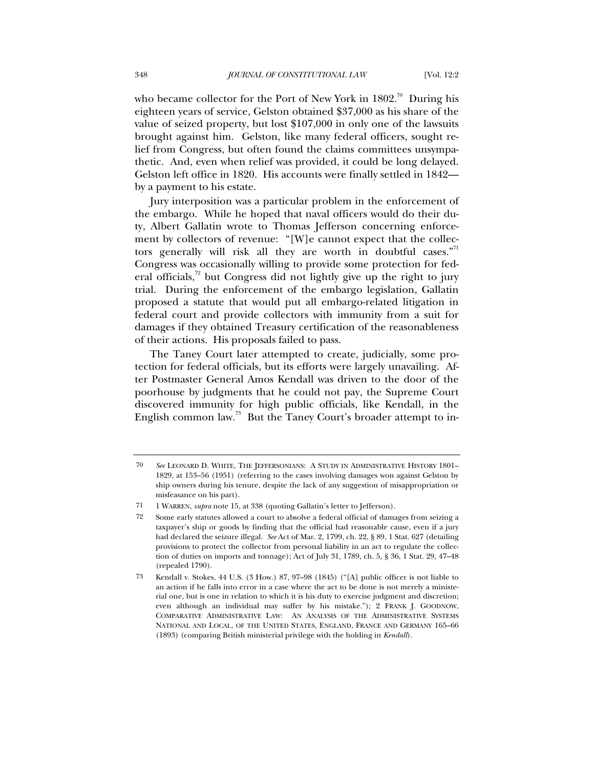who became collector for the Port of New York in  $1802$ .<sup>70</sup> During his eighteen years of service, Gelston obtained \$37,000 as his share of the value of seized property, but lost \$107,000 in only one of the lawsuits brought against him. Gelston, like many federal officers, sought relief from Congress, but often found the claims committees unsympathetic. And, even when relief was provided, it could be long delayed. Gelston left office in 1820. His accounts were finally settled in 1842 by a payment to his estate.

Jury interposition was a particular problem in the enforcement of the embargo. While he hoped that naval officers would do their duty, Albert Gallatin wrote to Thomas Jefferson concerning enforcement by collectors of revenue: "[W]e cannot expect that the collectors generally will risk all they are worth in doubtful cases. $n<sup>71</sup>$ Congress was occasionally willing to provide some protection for federal officials, $72$  but Congress did not lightly give up the right to jury trial. During the enforcement of the embargo legislation, Gallatin proposed a statute that would put all embargo-related litigation in federal court and provide collectors with immunity from a suit for damages if they obtained Treasury certification of the reasonableness of their actions. His proposals failed to pass.

The Taney Court later attempted to create, judicially, some protection for federal officials, but its efforts were largely unavailing. After Postmaster General Amos Kendall was driven to the door of the poorhouse by judgments that he could not pay, the Supreme Court discovered immunity for high public officials, like Kendall, in the English common law.<sup>73</sup> But the Taney Court's broader attempt to in-

<sup>70</sup> *See* LEONARD D. WHITE, THE JEFFERSONIANS: A STUDY IN ADMINISTRATIVE HISTORY 1801– 1829, at 153–56 (1951) (referring to the cases involving damages won against Gelston by ship owners during his tenure, despite the lack of any suggestion of misappropriation or misfeasance on his part).

<sup>71 1</sup> WARREN, *supra* note 15, at 338 (quoting Gallatin's letter to Jefferson).

<sup>72</sup> Some early statutes allowed a court to absolve a federal official of damages from seizing a taxpayer's ship or goods by finding that the official had reasonable cause, even if a jury had declared the seizure illegal. *See* Act of Mar. 2, 1799, ch. 22, § 89, 1 Stat. 627 (detailing provisions to protect the collector from personal liability in an act to regulate the collection of duties on imports and tonnage); Act of July 31, 1789, ch. 5, § 36, 1 Stat. 29, 47–48 (repealed 1790).

<sup>73</sup> Kendall v. Stokes, 44 U.S. (3 How.) 87, 97–98 (1845) ("[A] public officer is not liable to an action if he falls into error in a case where the act to be done is not merely a ministerial one, but is one in relation to which it is his duty to exercise judgment and discretion; even although an individual may suffer by his mistake."); 2 FRANK J. GOODNOW, COMPARATIVE ADMINISTRATIVE LAW: AN ANALYSIS OF THE ADMINISTRATIVE SYSTEMS NATIONAL AND LOCAL, OF THE UNITED STATES, ENGLAND, FRANCE AND GERMANY 165–66 (1893) (comparing British ministerial privilege with the holding in *Kendall*).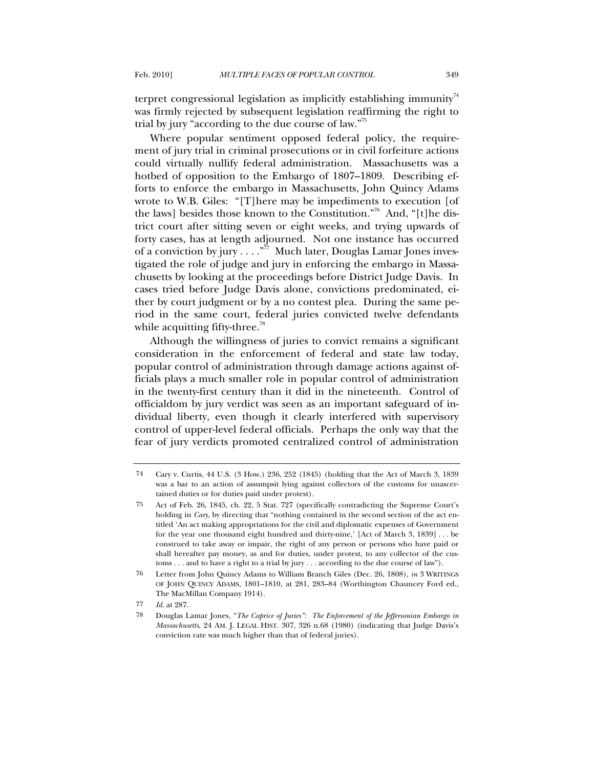terpret congressional legislation as implicitly establishing immunity<sup>74</sup> was firmly rejected by subsequent legislation reaffirming the right to trial by jury "according to the due course of law."75

Where popular sentiment opposed federal policy, the requirement of jury trial in criminal prosecutions or in civil forfeiture actions could virtually nullify federal administration. Massachusetts was a hotbed of opposition to the Embargo of 1807–1809. Describing efforts to enforce the embargo in Massachusetts, John Quincy Adams wrote to W.B. Giles: "[T]here may be impediments to execution [of the laws] besides those known to the Constitution."<sup>76</sup> And, "[t]he district court after sitting seven or eight weeks, and trying upwards of forty cases, has at length adjourned. Not one instance has occurred of a conviction by jury . . . .  $\mathbb{R}^7$  Much later, Douglas Lamar Jones investigated the role of judge and jury in enforcing the embargo in Massachusetts by looking at the proceedings before District Judge Davis. In cases tried before Judge Davis alone, convictions predominated, either by court judgment or by a no contest plea. During the same period in the same court, federal juries convicted twelve defendants while acquitting fifty-three.<sup>78</sup>

Although the willingness of juries to convict remains a significant consideration in the enforcement of federal and state law today, popular control of administration through damage actions against officials plays a much smaller role in popular control of administration in the twenty-first century than it did in the nineteenth. Control of officialdom by jury verdict was seen as an important safeguard of individual liberty, even though it clearly interfered with supervisory control of upper-level federal officials. Perhaps the only way that the fear of jury verdicts promoted centralized control of administration

<sup>74</sup> Cary v. Curtis, 44 U.S. (3 How.) 236, 252 (1845) (holding that the Act of March 3, 1839 was a bar to an action of assumpsit lying against collectors of the customs for unascertained duties or for duties paid under protest).

<sup>75</sup> Act of Feb. 26, 1845, ch. 22, 5 Stat. 727 (specifically contradicting the Supreme Court's holding in *Cary*, by directing that "nothing contained in the second section of the act entitled 'An act making appropriations for the civil and diplomatic expenses of Government for the year one thousand eight hundred and thirty-nine,' [Act of March 3, 1839] . . . be construed to take away or impair, the right of any person or persons who have paid or shall hereafter pay money, as and for duties, under protest, to any collector of the customs . . . and to have a right to a trial by jury . . . according to the due course of law").

<sup>76</sup> Letter from John Quincy Adams to William Branch Giles (Dec. 26, 1808), *in* 3 WRITINGS OF JOHN QUINCY ADAMS, 1801–1810, at 281, 283–84 (Worthington Chauncey Ford ed., The MacMillan Company 1914).

<sup>77</sup> *Id.* at 287.

<sup>78</sup> Douglas Lamar Jones, "*The Caprice of Juries": The Enforcement of the Jeffersonian Embargo in Massachusetts*, 24 AM. J. LEGAL HIST. 307, 326 n.68 (1980) (indicating that Judge Davis's conviction rate was much higher than that of federal juries).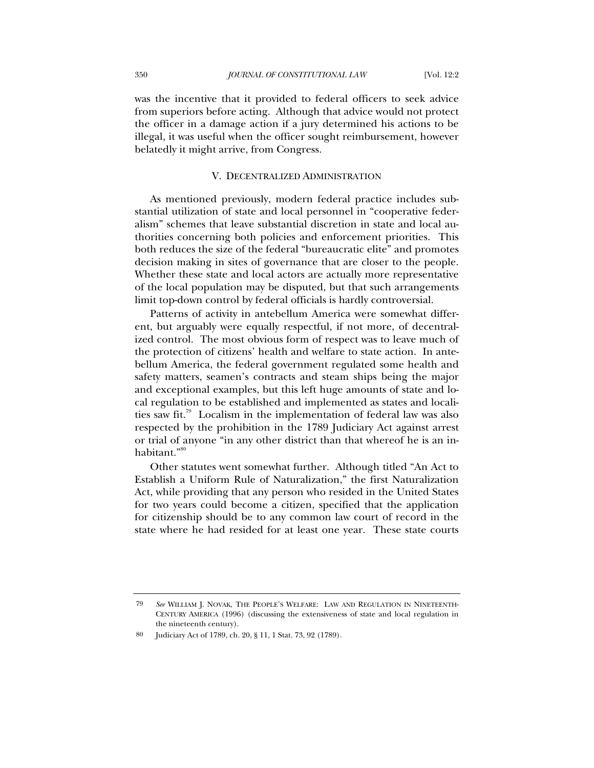was the incentive that it provided to federal officers to seek advice from superiors before acting. Although that advice would not protect the officer in a damage action if a jury determined his actions to be illegal, it was useful when the officer sought reimbursement, however belatedly it might arrive, from Congress.

## V. DECENTRALIZED ADMINISTRATION

As mentioned previously, modern federal practice includes substantial utilization of state and local personnel in "cooperative federalism" schemes that leave substantial discretion in state and local authorities concerning both policies and enforcement priorities. This both reduces the size of the federal "bureaucratic elite" and promotes decision making in sites of governance that are closer to the people. Whether these state and local actors are actually more representative of the local population may be disputed, but that such arrangements limit top-down control by federal officials is hardly controversial.

Patterns of activity in antebellum America were somewhat different, but arguably were equally respectful, if not more, of decentralized control. The most obvious form of respect was to leave much of the protection of citizens' health and welfare to state action. In antebellum America, the federal government regulated some health and safety matters, seamen's contracts and steam ships being the major and exceptional examples, but this left huge amounts of state and local regulation to be established and implemented as states and localities saw fit.<sup>79</sup> Localism in the implementation of federal law was also respected by the prohibition in the 1789 Judiciary Act against arrest or trial of anyone "in any other district than that whereof he is an inhabitant."<sup>80</sup>

Other statutes went somewhat further. Although titled "An Act to Establish a Uniform Rule of Naturalization," the first Naturalization Act, while providing that any person who resided in the United States for two years could become a citizen, specified that the application for citizenship should be to any common law court of record in the state where he had resided for at least one year. These state courts

<sup>79</sup> *See* WILLIAM J. NOVAK, THE PEOPLE'S WELFARE: LAW AND REGULATION IN NINETEENTH-CENTURY AMERICA (1996) (discussing the extensiveness of state and local regulation in the nineteenth century).

Judiciary Act of 1789, ch. 20, § 11, 1 Stat. 73, 92 (1789).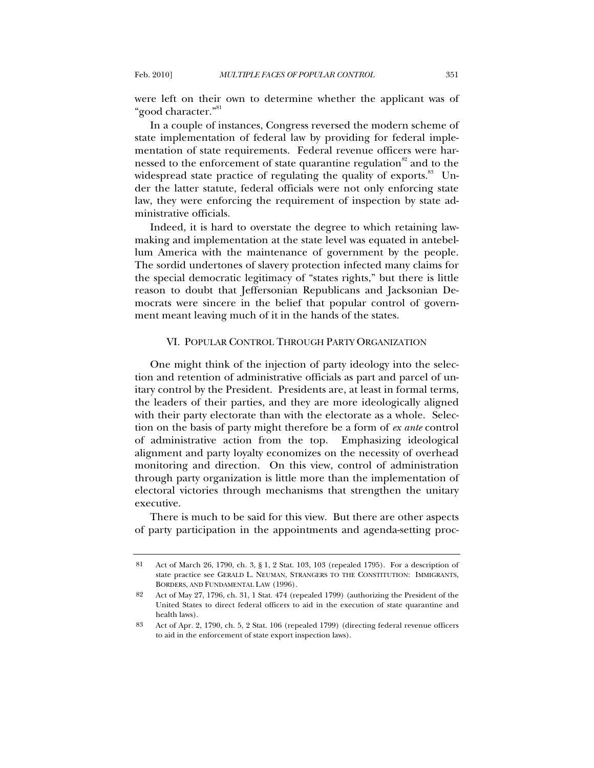were left on their own to determine whether the applicant was of "good character."81

In a couple of instances, Congress reversed the modern scheme of state implementation of federal law by providing for federal implementation of state requirements. Federal revenue officers were harnessed to the enforcement of state quarantine regulation $82$  and to the widespread state practice of regulating the quality of exports. $83\;\;$  Under the latter statute, federal officials were not only enforcing state law, they were enforcing the requirement of inspection by state administrative officials.

Indeed, it is hard to overstate the degree to which retaining lawmaking and implementation at the state level was equated in antebellum America with the maintenance of government by the people. The sordid undertones of slavery protection infected many claims for the special democratic legitimacy of "states rights," but there is little reason to doubt that Jeffersonian Republicans and Jacksonian Democrats were sincere in the belief that popular control of government meant leaving much of it in the hands of the states.

## VI. POPULAR CONTROL THROUGH PARTY ORGANIZATION

One might think of the injection of party ideology into the selection and retention of administrative officials as part and parcel of unitary control by the President. Presidents are, at least in formal terms, the leaders of their parties, and they are more ideologically aligned with their party electorate than with the electorate as a whole. Selection on the basis of party might therefore be a form of *ex ante* control of administrative action from the top. Emphasizing ideological alignment and party loyalty economizes on the necessity of overhead monitoring and direction. On this view, control of administration through party organization is little more than the implementation of electoral victories through mechanisms that strengthen the unitary executive.

There is much to be said for this view. But there are other aspects of party participation in the appointments and agenda-setting proc-

<sup>81</sup> Act of March 26, 1790, ch. 3, § 1, 2 Stat. 103, 103 (repealed 1795). For a description of state practice see GERALD L. NEUMAN, STRANGERS TO THE CONSTITUTION: IMMIGRANTS, BORDERS, AND FUNDAMENTAL LAW (1996).

<sup>82</sup> Act of May 27, 1796, ch. 31, 1 Stat. 474 (repealed 1799) (authorizing the President of the United States to direct federal officers to aid in the execution of state quarantine and health laws).

<sup>83</sup> Act of Apr. 2, 1790, ch. 5, 2 Stat. 106 (repealed 1799) (directing federal revenue officers to aid in the enforcement of state export inspection laws).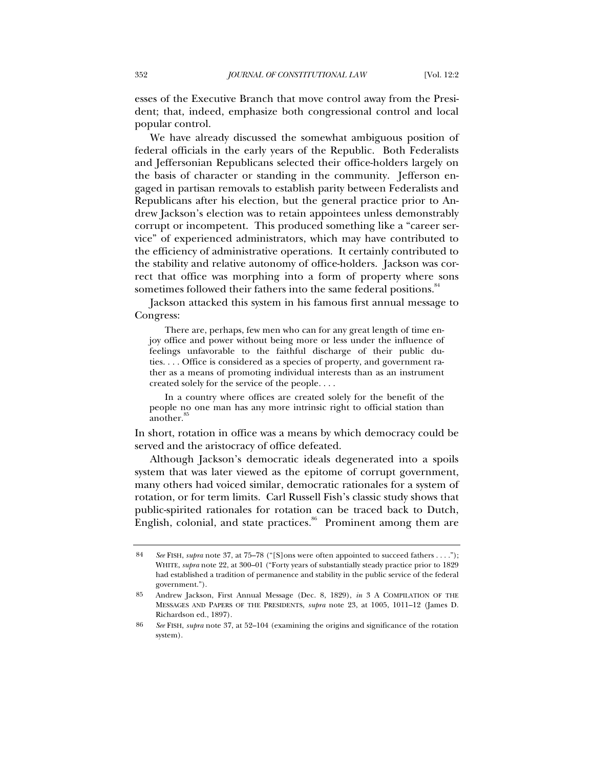esses of the Executive Branch that move control away from the President; that, indeed, emphasize both congressional control and local popular control.

We have already discussed the somewhat ambiguous position of federal officials in the early years of the Republic. Both Federalists and Jeffersonian Republicans selected their office-holders largely on the basis of character or standing in the community. Jefferson engaged in partisan removals to establish parity between Federalists and Republicans after his election, but the general practice prior to Andrew Jackson's election was to retain appointees unless demonstrably corrupt or incompetent. This produced something like a "career service" of experienced administrators, which may have contributed to the efficiency of administrative operations. It certainly contributed to the stability and relative autonomy of office-holders. Jackson was correct that office was morphing into a form of property where sons sometimes followed their fathers into the same federal positions.<sup>84</sup>

Jackson attacked this system in his famous first annual message to Congress:

 There are, perhaps, few men who can for any great length of time enjoy office and power without being more or less under the influence of feelings unfavorable to the faithful discharge of their public duties. . . . Office is considered as a species of property, and government rather as a means of promoting individual interests than as an instrument created solely for the service of the people. . . .

In a country where offices are created solely for the benefit of the people no one man has any more intrinsic right to official station than another.<sup>8</sup>

In short, rotation in office was a means by which democracy could be served and the aristocracy of office defeated.

Although Jackson's democratic ideals degenerated into a spoils system that was later viewed as the epitome of corrupt government, many others had voiced similar, democratic rationales for a system of rotation, or for term limits. Carl Russell Fish's classic study shows that public-spirited rationales for rotation can be traced back to Dutch, English, colonial, and state practices. $86$  Prominent among them are

<sup>84</sup> *See* FISH, *supra* note 37, at 75–78 ("[S]ons were often appointed to succeed fathers . . . ."); WHITE, *supra* note 22, at 300–01 ("Forty years of substantially steady practice prior to 1829 had established a tradition of permanence and stability in the public service of the federal government.").

<sup>85</sup> Andrew Jackson, First Annual Message (Dec. 8, 1829), *in* 3 A COMPILATION OF THE MESSAGES AND PAPERS OF THE PRESIDENTS, *supra* note 23, at 1005, 1011–12 (James D. Richardson ed., 1897).

<sup>86</sup> *See* FISH, *supra* note 37, at 52–104 (examining the origins and significance of the rotation system).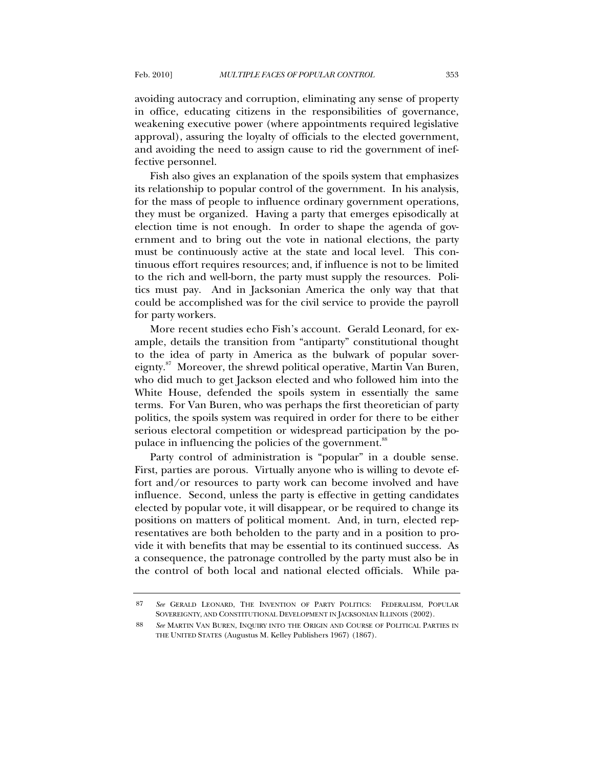avoiding autocracy and corruption, eliminating any sense of property in office, educating citizens in the responsibilities of governance, weakening executive power (where appointments required legislative approval), assuring the loyalty of officials to the elected government, and avoiding the need to assign cause to rid the government of ineffective personnel.

Fish also gives an explanation of the spoils system that emphasizes its relationship to popular control of the government. In his analysis, for the mass of people to influence ordinary government operations, they must be organized. Having a party that emerges episodically at election time is not enough. In order to shape the agenda of government and to bring out the vote in national elections, the party must be continuously active at the state and local level. This continuous effort requires resources; and, if influence is not to be limited to the rich and well-born, the party must supply the resources. Politics must pay. And in Jacksonian America the only way that that could be accomplished was for the civil service to provide the payroll for party workers.

More recent studies echo Fish's account. Gerald Leonard, for example, details the transition from "antiparty" constitutional thought to the idea of party in America as the bulwark of popular sovereignty.<sup>87</sup> Moreover, the shrewd political operative, Martin Van Buren, who did much to get Jackson elected and who followed him into the White House, defended the spoils system in essentially the same terms. For Van Buren, who was perhaps the first theoretician of party politics, the spoils system was required in order for there to be either serious electoral competition or widespread participation by the populace in influencing the policies of the government.<sup>88</sup>

Party control of administration is "popular" in a double sense. First, parties are porous. Virtually anyone who is willing to devote effort and/or resources to party work can become involved and have influence. Second, unless the party is effective in getting candidates elected by popular vote, it will disappear, or be required to change its positions on matters of political moment. And, in turn, elected representatives are both beholden to the party and in a position to provide it with benefits that may be essential to its continued success. As a consequence, the patronage controlled by the party must also be in the control of both local and national elected officials. While pa-

<sup>87</sup> *See* GERALD LEONARD, THE INVENTION OF PARTY POLITICS: FEDERALISM, POPULAR SOVEREIGNTY, AND CONSTITUTIONAL DEVELOPMENT IN JACKSONIAN ILLINOIS (2002).

<sup>88</sup> *See* MARTIN VAN BUREN, INQUIRY INTO THE ORIGIN AND COURSE OF POLITICAL PARTIES IN THE UNITED STATES (Augustus M. Kelley Publishers 1967) (1867).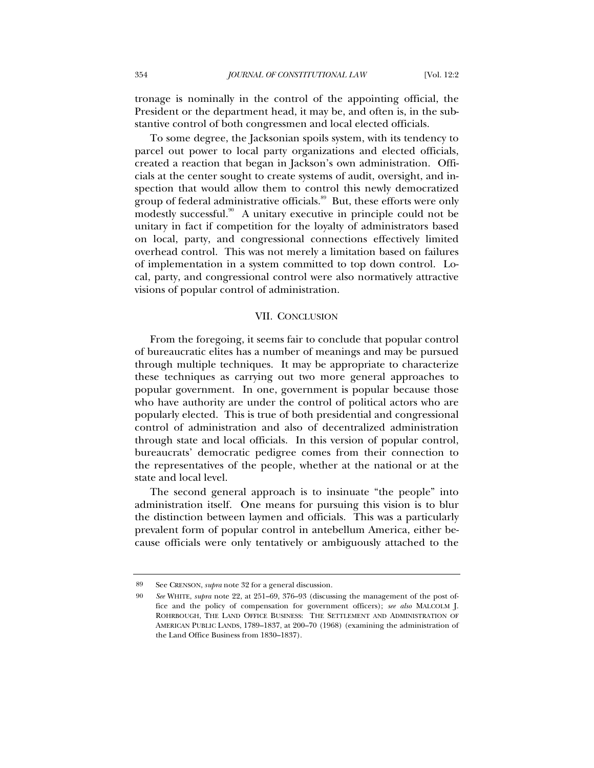tronage is nominally in the control of the appointing official, the President or the department head, it may be, and often is, in the substantive control of both congressmen and local elected officials.

To some degree, the Jacksonian spoils system, with its tendency to parcel out power to local party organizations and elected officials, created a reaction that began in Jackson's own administration. Officials at the center sought to create systems of audit, oversight, and inspection that would allow them to control this newly democratized group of federal administrative officials.<sup>89</sup> But, these efforts were only modestly successful.<sup>90</sup> A unitary executive in principle could not be unitary in fact if competition for the loyalty of administrators based on local, party, and congressional connections effectively limited overhead control. This was not merely a limitation based on failures of implementation in a system committed to top down control. Local, party, and congressional control were also normatively attractive visions of popular control of administration.

#### VII. CONCLUSION

From the foregoing, it seems fair to conclude that popular control of bureaucratic elites has a number of meanings and may be pursued through multiple techniques. It may be appropriate to characterize these techniques as carrying out two more general approaches to popular government. In one, government is popular because those who have authority are under the control of political actors who are popularly elected. This is true of both presidential and congressional control of administration and also of decentralized administration through state and local officials. In this version of popular control, bureaucrats' democratic pedigree comes from their connection to the representatives of the people, whether at the national or at the state and local level.

The second general approach is to insinuate "the people" into administration itself. One means for pursuing this vision is to blur the distinction between laymen and officials. This was a particularly prevalent form of popular control in antebellum America, either because officials were only tentatively or ambiguously attached to the

<sup>89</sup> See CRENSON, *supra* note 32 for a general discussion.

<sup>90</sup> *See* WHITE, *supra* note 22, at 251–69, 376–93 (discussing the management of the post office and the policy of compensation for government officers); *see also* MALCOLM J. ROHRBOUGH, THE LAND OFFICE BUSINESS: THE SETTLEMENT AND ADMINISTRATION OF AMERICAN PUBLIC LANDS, 1789–1837, at 200–70 (1968) (examining the administration of the Land Office Business from 1830–1837).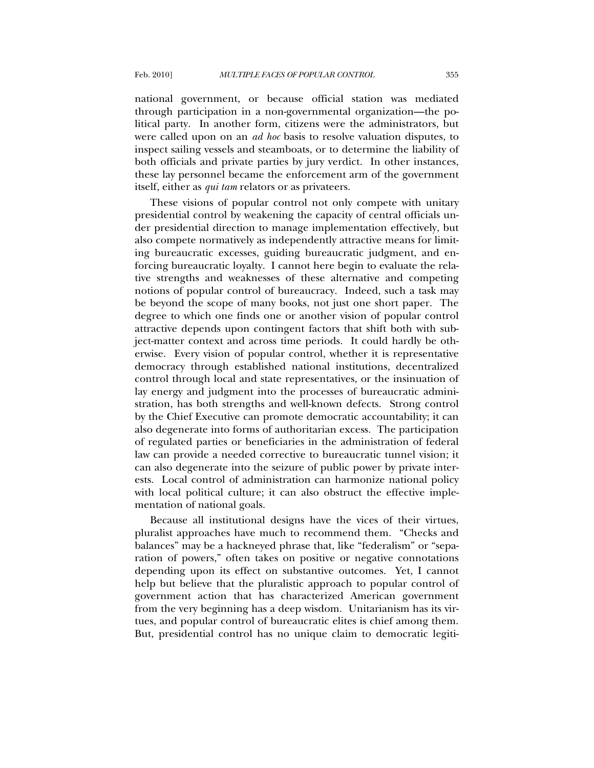national government, or because official station was mediated through participation in a non-governmental organization—the political party. In another form, citizens were the administrators, but were called upon on an *ad hoc* basis to resolve valuation disputes, to inspect sailing vessels and steamboats, or to determine the liability of both officials and private parties by jury verdict. In other instances, these lay personnel became the enforcement arm of the government itself, either as *qui tam* relators or as privateers.

These visions of popular control not only compete with unitary presidential control by weakening the capacity of central officials under presidential direction to manage implementation effectively, but also compete normatively as independently attractive means for limiting bureaucratic excesses, guiding bureaucratic judgment, and enforcing bureaucratic loyalty. I cannot here begin to evaluate the relative strengths and weaknesses of these alternative and competing notions of popular control of bureaucracy. Indeed, such a task may be beyond the scope of many books, not just one short paper. The degree to which one finds one or another vision of popular control attractive depends upon contingent factors that shift both with subject-matter context and across time periods. It could hardly be otherwise. Every vision of popular control, whether it is representative democracy through established national institutions, decentralized control through local and state representatives, or the insinuation of lay energy and judgment into the processes of bureaucratic administration, has both strengths and well-known defects. Strong control by the Chief Executive can promote democratic accountability; it can also degenerate into forms of authoritarian excess. The participation of regulated parties or beneficiaries in the administration of federal law can provide a needed corrective to bureaucratic tunnel vision; it can also degenerate into the seizure of public power by private interests. Local control of administration can harmonize national policy with local political culture; it can also obstruct the effective implementation of national goals.

Because all institutional designs have the vices of their virtues, pluralist approaches have much to recommend them. "Checks and balances" may be a hackneyed phrase that, like "federalism" or "separation of powers," often takes on positive or negative connotations depending upon its effect on substantive outcomes. Yet, I cannot help but believe that the pluralistic approach to popular control of government action that has characterized American government from the very beginning has a deep wisdom. Unitarianism has its virtues, and popular control of bureaucratic elites is chief among them. But, presidential control has no unique claim to democratic legiti-